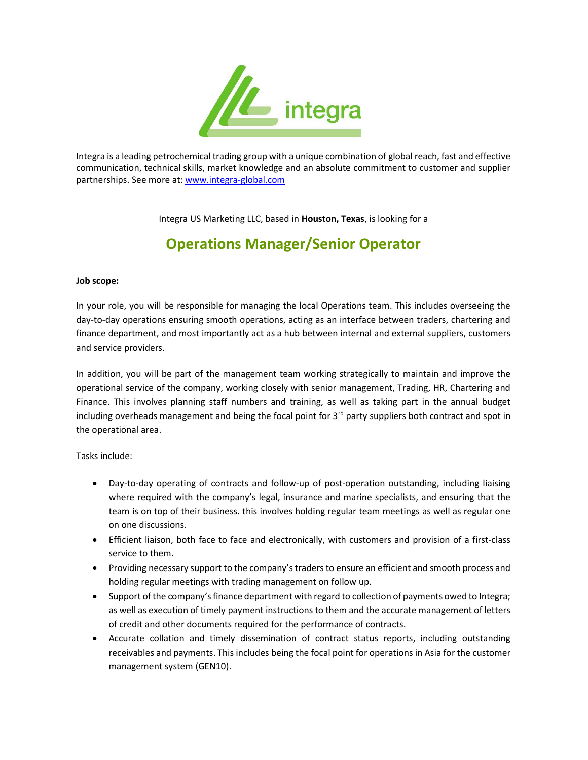

Integra is a leading petrochemical trading group with a unique combination of global reach, fast and effective communication, technical skills, market knowledge and an absolute commitment to customer and supplier partnerships. See more at: www.integra-global.com

Integra US Marketing LLC, based in Houston, Texas, is looking for a

## Operations Manager/Senior Operator

## Job scope:

In your role, you will be responsible for managing the local Operations team. This includes overseeing the day-to-day operations ensuring smooth operations, acting as an interface between traders, chartering and finance department, and most importantly act as a hub between internal and external suppliers, customers and service providers.

In addition, you will be part of the management team working strategically to maintain and improve the operational service of the company, working closely with senior management, Trading, HR, Chartering and Finance. This involves planning staff numbers and training, as well as taking part in the annual budget including overheads management and being the focal point for  $3<sup>rd</sup>$  party suppliers both contract and spot in the operational area.

Tasks include:

- Day-to-day operating of contracts and follow-up of post-operation outstanding, including liaising where required with the company's legal, insurance and marine specialists, and ensuring that the team is on top of their business. this involves holding regular team meetings as well as regular one on one discussions.
- Efficient liaison, both face to face and electronically, with customers and provision of a first-class service to them.
- Providing necessary support to the company's traders to ensure an efficient and smooth process and holding regular meetings with trading management on follow up.
- Support of the company's finance department with regard to collection of payments owed to Integra; as well as execution of timely payment instructions to them and the accurate management of letters of credit and other documents required for the performance of contracts.
- Accurate collation and timely dissemination of contract status reports, including outstanding receivables and payments. This includes being the focal point for operations in Asia for the customer management system (GEN10).